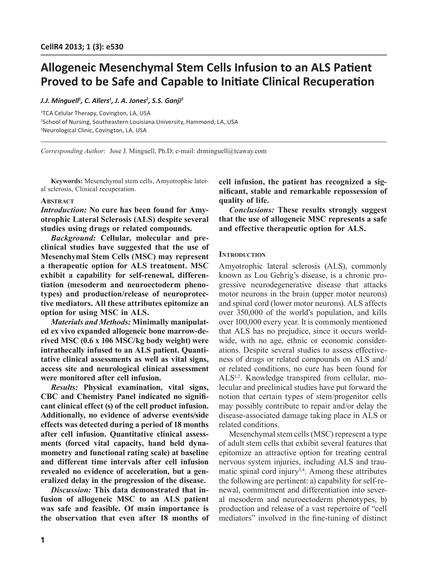# **Allogeneic Mesenchymal Stem Cells Infusion to an ALS Patient Proved to be Safe and Capable to Initiate Clinical Recuperation**

# *J.J. Minguell1 , C. Allers1 , J. A. Jones2 , S.S. Ganji3*

1 TCA Celular Therapy, Covington, LA, USA 2 School of Nursing, Southeastern Louisiana University, Hammond, LA, USA 3 Neurological Clinic, Covington, LA, USA

*Corresponding Author*: Jose J. Minguell, Ph.D; e-mail: drminguell@tcaway.com

**Keywords:** Mesenchymal stem cells, Amyotrophic lateral sclerosis, Clinical recuperation.

# **Abstract**

*Introduction:* **No cure has been found for Amyotrophic Lateral Sclerosis (ALS) despite several studies using drugs or related compounds.**

*Background:* **Cellular, molecular and preclinical studies have suggested that the use of Mesenchymal Stem Cells (MSC) may represent a therapeutic option for ALS treatment. MSC exhibit a capability for self-renewal, differentiation (mesoderm and neuroectoderm phenotypes) and production/release of neuroprotective mediators. All these attributes epitomize an option for using MSC in ALS.**

*Materials and Methods:* **Minimally manipulated ex vivo expanded allogeneic bone marrow-derived MSC (0.6 x 106 MSC/kg body weight) were intrathecally infused to an ALS patient. Quantitative clinical assessments as well as vital signs, access site and neurological clinical assessment were monitored after cell infusion.** 

*Results:* **Physical examination, vital signs, CBC and Chemistry Panel indicated no significant clinical effect (s) of the cell product infusion. Additionally, no evidence of adverse events/side effects was detected during a period of 18 months after cell infusion. Quantitative clinical assessments (forced vital capacity, hand held dynamometry and functional rating scale) at baseline and different time intervals after cell infusion revealed no evidence of acceleration, but a generalized delay in the progression of the disease.**

*Discussion:* **This data demonstrated that infusion of allogeneic MSC to an ALS patient was safe and feasible. Of main importance is the observation that even after 18 months of** 

**cell infusion, the patient has recognized a significant, stable and remarkable repossession of quality of life.** 

*Conclusions:* **These results strongly suggest that the use of allogeneic MSC represents a safe and effective therapeutic option for ALS.**

# **INTRODUCTION**

Amyotrophic lateral sclerosis (ALS), commonly known as Lou Gehrig's disease, is a chronic progressive neurodegenerative disease that attacks motor neurons in the brain (upper motor neurons) and spinal cord (lower motor neurons). ALS affects over 350,000 of the world's population, and kills over 100,000 every year. It is commonly mentioned that ALS has no prejudice, since it occurs worldwide, with no age, ethnic or economic considerations. Despite several studies to assess effectiveness of drugs or related compounds on ALS and/ or related conditions, no cure has been found for ALS1,2. Knowledge transpired from cellular, molecular and preclinical studies have put forward the notion that certain types of stem/progenitor cells may possibly contribute to repair and/or delay the disease-associated damage taking place in ALS or related conditions.

Mesenchymal stem cells (MSC) represent a type of adult stem cells that exhibit several features that epitomize an attractive option for treating central nervous system injuries, including ALS and traumatic spinal cord injury<sup>3,4</sup>. Among these attributes the following are pertinent: a) capability for self-renewal, commitment and differentiation into several mesoderm and neuroectoderm phenotypes, b) production and release of a vast repertoire of "cell mediators" involved in the fine-tuning of distinct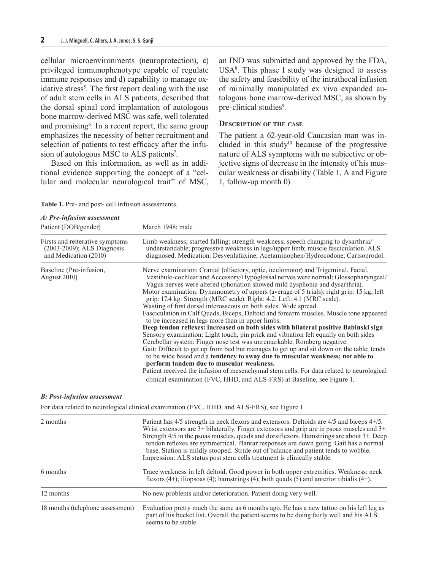cellular microenvironments (neuroprotection), c) privileged immunophenotype capable of regulate immune responses and d) capability to manage oxidative stress<sup>5</sup>. The first report dealing with the use of adult stem cells in ALS patients, described that the dorsal spinal cord implantation of autologous bone marrow-derived MSC was safe, well tolerated and promising<sup>6</sup>. In a recent report, the same group emphasizes the necessity of better recruitment and selection of patients to test efficacy after the infusion of autologous MSC to ALS patients<sup>7</sup>.

Based on this information, as well as in additional evidence supporting the concept of a "cellular and molecular neurological trait" of MSC, an IND was submitted and approved by the FDA,  $USA<sup>8</sup>$ . This phase I study was designed to assess the safety and feasibility of the intrathecal infusion of minimally manipulated ex vivo expanded autologous bone marrow-derived MSC, as shown by pre-clinical studies<sup>9</sup>.

### **Description of the case**

The patient a 62-year-old Caucasian man was included in this study $10$  because of the progressive nature of ALS symptoms with no subjective or objective signs of decrease in the intensity of his muscular weakness or disability (Table 1, A and Figure 1, follow-up month 0).

**Table 1.** Pre- and post- cell infusion assessments.

| A: Pre-infusion assessment                                                             |                                                                                                                                                                                                                                                                                                                                                                                                                                                                                                                                                                                                                                                                                                                                                                                                                                                                                                                                                                                                                                                                                                                                                                                                                                                                                                             |
|----------------------------------------------------------------------------------------|-------------------------------------------------------------------------------------------------------------------------------------------------------------------------------------------------------------------------------------------------------------------------------------------------------------------------------------------------------------------------------------------------------------------------------------------------------------------------------------------------------------------------------------------------------------------------------------------------------------------------------------------------------------------------------------------------------------------------------------------------------------------------------------------------------------------------------------------------------------------------------------------------------------------------------------------------------------------------------------------------------------------------------------------------------------------------------------------------------------------------------------------------------------------------------------------------------------------------------------------------------------------------------------------------------------|
| Patient (DOB/gender)                                                                   | March 1948; male                                                                                                                                                                                                                                                                                                                                                                                                                                                                                                                                                                                                                                                                                                                                                                                                                                                                                                                                                                                                                                                                                                                                                                                                                                                                                            |
| Firsts and reiterative symptoms<br>(2003-2009); ALS Diagnosis<br>and Medication (2010) | Limb weakness; started falling: strength weakness; speech changing to dysarthria<br>understandable; progressive weakness in legs/upper limb; muscle fasciculation. ALS<br>diagnosed. Medication: Desvenlafaxine; Acetaminophen/Hydrocodone; Carisoprodol.                                                                                                                                                                                                                                                                                                                                                                                                                                                                                                                                                                                                                                                                                                                                                                                                                                                                                                                                                                                                                                                   |
| Baseline (Pre-infusion,<br>August 2010)                                                | Nerve examination: Cranial (olfactory, optic, oculomotor) and Trigeminal, Facial,<br>Vestibule-cochlear and Accessory/Hypoglossal nerves were normal; Glossopharyngeal/<br>Vagus nerves were altered (phonation showed mild dysphonia and dysarthria).<br>Motor examination: Dynamometry of uppers (average of 5 trials): right grip: 15 kg; left<br>grip: 17.4 kg. Strength (MRC scale). Right: 4.2; Left: 4.1 (MRC scale).<br>Wasting of first dorsal interosseous on both sides. Wide spread.<br>Fasciculation in Calf Quads, Biceps, Deltoid and forearm muscles. Muscle tone appeared<br>to be increased in legs more than in upper limbs.<br>Deep tendon reflexes: increased on both sides with bilateral positive Babinski sign<br>Sensory examination: Light touch, pin prick and vibration felt equally on both sides<br>Cerebellar system: Finger nose test was unremarkable. Romberg negative.<br>Gait: Difficult to get up from bed but manages to get up and sit down on the table; tends<br>to be wide based and a tendency to sway due to muscular weakness; not able to<br>perform tandem due to muscular weakness.<br>Patient received the infusion of mesenchymal stem cells. For data related to neurological<br>clinical examination (FVC, HHD, and ALS-FRS) at Baseline, see Figure 1. |

#### *B: Post-infusion assessment*

For data related to neurological clinical examination (FVC, HHD, and ALS-FRS), see Figure 1.

| 2 months                         | Patient has 4/5 strength in neck flexors and extensors. Deltoids are 4/5 and biceps 4+/5.<br>Wrist extensors are $3+$ bilaterally. Finger extensors and grip are in psoas muscles and $3+$ .<br>Strength 4/5 in the psoas muscles, quads and dorsiflexors. Hamstrings are about 3+. Deep<br>tendon reflexes are symmetrical. Plantar responses are down going. Gait has a normal<br>base. Station is mildly stooped. Stride out of balance and patient tends to wobble.<br>Impression: ALS status post stem cells treatment is clinically stable. |
|----------------------------------|---------------------------------------------------------------------------------------------------------------------------------------------------------------------------------------------------------------------------------------------------------------------------------------------------------------------------------------------------------------------------------------------------------------------------------------------------------------------------------------------------------------------------------------------------|
| 6 months                         | Trace weakness in left deltoid. Good power in both upper extremities. Weakness: neck<br>flexors (4+); iliopsoas (4); hamstrings (4); both quads (5) and anterior tibialis (4+).                                                                                                                                                                                                                                                                                                                                                                   |
| 12 months                        | No new problems and/or deterioration. Patient doing very well.                                                                                                                                                                                                                                                                                                                                                                                                                                                                                    |
| 18 months (telephone assessment) | Evaluation pretty much the same as 6 months ago. He has a new tattoo on his left leg as<br>part of his bucket list. Overall the patient seems to be doing fairly well and his ALS<br>seems to be stable.                                                                                                                                                                                                                                                                                                                                          |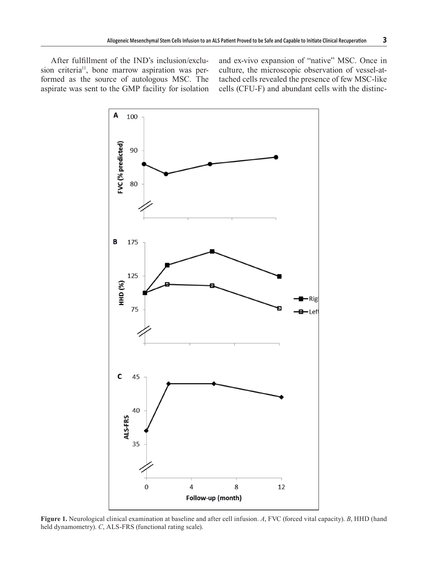After fulfillment of the IND's inclusion/exclusion criteria<sup>11</sup>, bone marrow aspiration was performed as the source of autologous MSC. The aspirate was sent to the GMP facility for isolation and ex-vivo expansion of "native" MSC. Once in culture, the microscopic observation of vessel-attached cells revealed the presence of few MSC-like cells (CFU-F) and abundant cells with the distinc-



**Figure 1.** Neurological clinical examination at baseline and after cell infusion. *A*, FVC (forced vital capacity). *B*, HHD (hand held dynamometry). *C*, ALS-FRS (functional rating scale).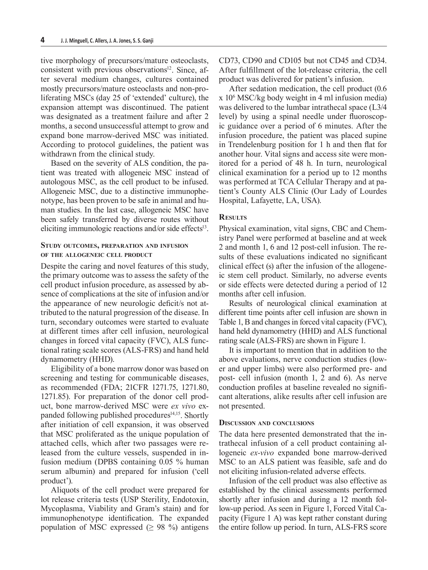tive morphology of precursors/mature osteoclasts, consistent with previous observations $\mathbf{S}^{12}$ . Since, after several medium changes, cultures contained mostly precursors/mature osteoclasts and non-proliferating MSCs (day 25 of 'extended' culture), the expansion attempt was discontinued. The patient was designated as a treatment failure and after 2 months, a second unsuccessful attempt to grow and expand bone marrow-derived MSC was initiated. According to protocol guidelines, the patient was withdrawn from the clinical study.

Based on the severity of ALS condition, the patient was treated with allogeneic MSC instead of autologous MSC, as the cell product to be infused. Allogeneic MSC, due to a distinctive immunophenotype, has been proven to be safe in animal and human studies. In the last case, allogeneic MSC have been safely transferred by diverse routes without eliciting immunologic reactions and/or side effects $13$ .

# **Study outcomes, preparation and infusion of the allogeneic cell product**

Despite the caring and novel features of this study, the primary outcome was to assess the safety of the cell product infusion procedure, as assessed by absence of complications at the site of infusion and/or the appearance of new neurologic deficit/s not attributed to the natural progression of the disease. In turn, secondary outcomes were started to evaluate at different times after cell infusion, neurological changes in forced vital capacity (FVC), ALS functional rating scale scores (ALS-FRS) and hand held dynamometry (HHD).

Eligibility of a bone marrow donor was based on screening and testing for communicable diseases, as recommended (FDA; 21CFR 1271.75, 1271.80, 1271.85). For preparation of the donor cell product, bone marrow-derived MSC were *ex vivo* expanded following published procedures<sup>14,15</sup>. Shortly after initiation of cell expansion, it was observed that MSC proliferated as the unique population of attached cells, which after two passages were released from the culture vessels, suspended in infusion medium (DPBS containing 0.05 % human serum albumin) and prepared for infusion ('cell product').

Aliquots of the cell product were prepared for lot release criteria tests (USP Sterility, Endotoxin, Mycoplasma, Viability and Gram's stain) and for immunophenotype identification. The expanded population of MSC expressed ( $\geq$  98 %) antigens CD73, CD90 and CD105 but not CD45 and CD34. After fulfillment of the lot-release criteria, the cell product was delivered for patient's infusion.

After sedation medication, the cell product (0.6 x 106 MSC/kg body weight in 4 ml infusion media) was delivered to the lumbar intrathecal space (L3/4 level) by using a spinal needle under fluoroscopic guidance over a period of 6 minutes. After the infusion procedure, the patient was placed supine in Trendelenburg position for 1 h and then flat for another hour. Vital signs and access site were monitored for a period of 48 h. In turn, neurological clinical examination for a period up to 12 months was performed at TCA Cellular Therapy and at patient's County ALS Clinic (Our Lady of Lourdes Hospital, Lafayette, LA, USA).

## **Results**

Physical examination, vital signs, CBC and Chemistry Panel were performed at baseline and at week 2 and month 1, 6 and 12 post-cell infusion. The results of these evaluations indicated no significant clinical effect (s) after the infusion of the allogeneic stem cell product. Similarly, no adverse events or side effects were detected during a period of 12 months after cell infusion.

Results of neurological clinical examination at different time points after cell infusion are shown in Table 1, B and changes in forced vital capacity (FVC), hand held dynamometry (HHD) and ALS functional rating scale (ALS-FRS) are shown in Figure 1.

It is important to mention that in addition to the above evaluations, nerve conduction studies (lower and upper limbs) were also performed pre- and post- cell infusion (month 1, 2 and 6). As nerve conduction profiles at baseline revealed no significant alterations, alike results after cell infusion are not presented.

#### **Discussion and conclusions**

The data here presented demonstrated that the intrathecal infusion of a cell product containing allogeneic *ex-vivo* expanded bone marrow-derived MSC to an ALS patient was feasible, safe and do not eliciting infusion-related adverse effects.

Infusion of the cell product was also effective as established by the clinical assessments performed shortly after infusion and during a 12 month follow-up period. As seen in Figure 1, Forced Vital Capacity (Figure 1 A) was kept rather constant during the entire follow up period. In turn, ALS-FRS score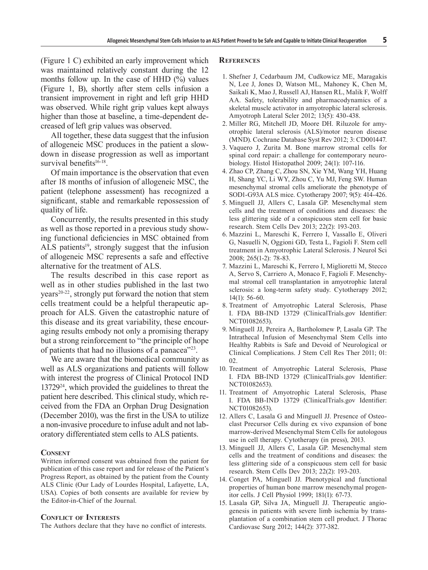(Figure 1 C) exhibited an early improvement which was maintained relatively constant during the 12 months follow up. In the case of HHD (%) values (Figure 1, B), shortly after stem cells infusion a transient improvement in right and left grip HHD was observed. While right grip values kept always higher than those at baseline, a time-dependent decreased of left grip values was observed.

All together, these data suggest that the infusion of allogeneic MSC produces in the patient a slowdown in disease progression as well as important survival benefits $16-18$ .

Of main importance is the observation that even after 18 months of infusion of allogeneic MSC, the patient (telephone assessment) has recognized a significant, stable and remarkable repossession of quality of life.

Concurrently, the results presented in this study as well as those reported in a previous study showing functional deficiencies in MSC obtained from ALS patients<sup>19</sup>, strongly suggest that the infusion of allogeneic MSC represents a safe and effective alternative for the treatment of ALS.

The results described in this case report as well as in other studies published in the last two  $years<sup>20-22</sup>$ , strongly put forward the notion that stem cells treatment could be a helpful therapeutic approach for ALS. Given the catastrophic nature of this disease and its great variability, these encouraging results embody not only a promising therapy but a strong reinforcement to "the principle of hope of patients that had no illusions of a panacea"23.

We are aware that the biomedical community as well as ALS organizations and patients will follow with interest the progress of Clinical Protocol IND 1372924, which provided the guidelines to threat the patient here described. This clinical study, which received from the FDA an Orphan Drug Designation (December 2010), was the first in the USA to utilize a non-invasive procedure to infuse adult and not laboratory differentiated stem cells to ALS patients.

## **Consent**

Written informed consent was obtained from the patient for publication of this case report and for release of the Patient's Progress Report, as obtained by the patient from the County ALS Clinic (Our Lady of Lourdes Hospital, Lafayette, LA, USA). Copies of both consents are available for review by the Editor-in-Chief of the Journal.

#### **Conflict of Interests**

The Authors declare that they have no conflict of interests.

#### **References**

- 1. Shefner J, Cedarbaum JM, Cudkowicz ME, Maragakis N, Lee J, Jones D, Watson ML, Mahoney K, Chen M, Saikali K, Mao J, Russell AJ, Hansen RL, Malik F, Wolff AA. Safety, tolerability and pharmacodynamics of a skeletal muscle activator in amyotrophic lateral sclerosis. Amyotroph Lateral Scler 2012; 13(5): 430-438.
- 2. Miller RG, Mitchell JD, Moore DH. Riluzole for amyotrophic lateral sclerosis (ALS)/motor neuron disease (MND). Cochrane Database Syst Rev 2012; 3: CD001447.
- 3. Vaquero J, Zurita M. Bone marrow stromal cells for spinal cord repair: a challenge for contemporary neurobiology. Histol Histopathol 2009; 24(1): 107-116.
- 4. Zhao CP, Zhang C, Zhou SN, Xie YM, Wang YH, Huang H, Shang YC, Li WY, Zhou C, Yu MJ, Feng SW. Human mesenchymal stromal cells ameliorate the phenotype of SOD1-G93A ALS mice. Cytotherapy 2007; 9(5): 414-426.
- 5. Minguell JJ, Allers C, Lasala GP. Mesenchymal stem cells and the treatment of conditions and diseases: the less glittering side of a conspicuous stem cell for basic research. Stem Cells Dev 2013; 22(2): 193-203.
- 6. Mazzini L, Mareschi K, Ferrero I, Vassallo E, Oliveri G, Nasuelli N, Oggioni GD, Testa L, Fagioli F. Stem cell treatment in Amyotrophic Lateral Sclerosis. J Neurol Sci 2008; 265(1-2): 78-83.
- 7. Mazzini L, Mareschi K, Ferrero I, Miglioretti M, Stecco A, Servo S, Carriero A, Monaco F, Fagioli F. Mesenchymal stromal cell transplantation in amyotrophic lateral sclerosis: a long-term safety study. Cytotherapy 2012; 14(1): 56-60.
- 8. Treatment of Amyotrophic Lateral Sclerosis, Phase I. FDA BB-IND 13729 (ClinicalTrials.gov Identifier: NCT01082653).
- 9. Minguell JJ, Pereira A, Bartholomew P, Lasala GP. The Intrathecal Infusion of Mesenchymal Stem Cells into Healthy Rabbits is Safe and Devoid of Neurological or Clinical Complications. J Stem Cell Res Ther 2011; 01: 02.
- 10. Treatment of Amyotrophic Lateral Sclerosis, Phase I. FDA BB-IND 13729 (ClinicalTrials.gov Identifier: NCT01082653).
- 11. Treatment of Amyotrophic Lateral Sclerosis, Phase I. FDA BB-IND 13729 (ClinicalTrials.gov Identifier: NCT01082653).
- 12. Allers C, Lasala G and Minguell JJ. Presence of Osteoclast Precursor Cells during ex vivo expansion of bone marrow-derived Mesenchymal Stem Cells for autologous use in cell therapy. Cytotherapy (in press), 2013.
- 13. Minguell JJ, Allers C, Lasala GP. Mesenchymal stem cells and the treatment of conditions and diseases: the less glittering side of a conspicuous stem cell for basic research. Stem Cells Dev 2013; 22(2): 193-203.
- 14. Conget PA, Minguell JJ. Phenotypical and functional properties of human bone marrow mesenchymal progenitor cells. J Cell Physiol 1999; 181(1): 67-73.
- 15. Lasala GP, Silva JA, Minguell JJ. Therapeutic angiogenesis in patients with severe limb ischemia by transplantation of a combination stem cell product. J Thorac Cardiovasc Surg 2012; 144(2): 377-382.